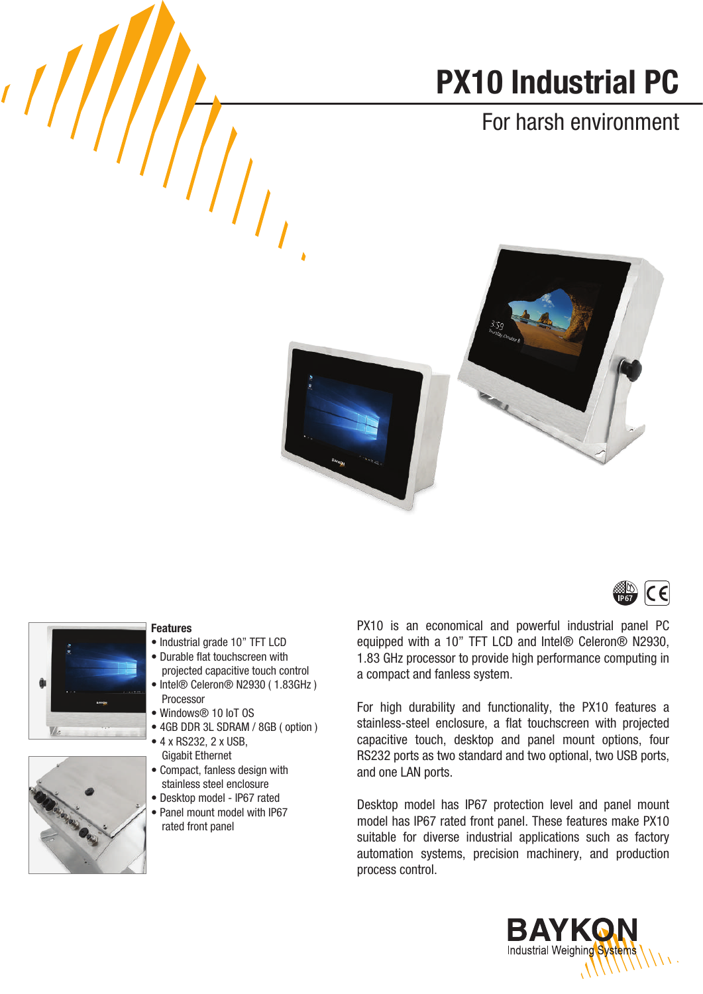# PX10 Industrial PC

### For harsh environment





 $\sqrt{2}$ 

#### Features

- Industrial grade 10" TFT LCD
- Durable flat touchscreen with
- projected capacitive touch control • Intel® Celeron® N2930 ( 1.83GHz ) Processor
- Windows® 10 IoT OS
- 4GB DDR 3L SDRAM / 8GB ( option )
- 4 x RS232, 2 x USB, Gigabit Ethernet
- Compact, fanless design with stainless steel enclosure
- Desktop model IP67 rated
- Panel mount model with IP67 rated front panel

PX10 is an economical and powerful industrial panel PC equipped with a 10" TFT LCD and Intel® Celeron® N2930, 1.83 GHz processor to provide high performance computing in a compact and fanless system.

For high durability and functionality, the PX10 features a stainless-steel enclosure, a flat touchscreen with projected capacitive touch, desktop and panel mount options, four RS232 ports as two standard and two optional, two USB ports, and one LAN ports.

Desktop model has IP67 protection level and panel mount model has IP67 rated front panel. These features make PX10 suitable for diverse industrial applications such as factory automation systems, precision machinery, and production process control.